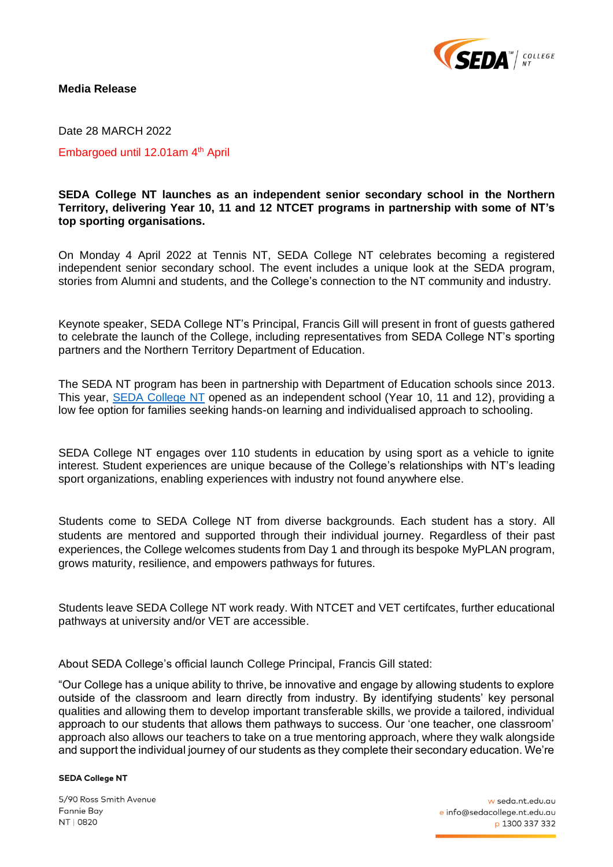

### **Media Release**

Date 28 MARCH 2022 Embargoed until 12.01am 4<sup>th</sup> April

# **SEDA College NT launches as an independent senior secondary school in the Northern Territory, delivering Year 10, 11 and 12 NTCET programs in partnership with some of NT's top sporting organisations.**

On Monday 4 April 2022 at Tennis NT, SEDA College NT celebrates becoming a registered independent senior secondary school. The event includes a unique look at the SEDA program, stories from Alumni and students, and the College's connection to the NT community and industry.

Keynote speaker, SEDA College NT's Principal, Francis Gill will present in front of guests gathered to celebrate the launch of the College, including representatives from SEDA College NT's sporting partners and the Northern Territory Department of Education.

The SEDA NT program has been in partnership with Department of Education schools since 2013. This year, [SEDA College NT](http://seda.nt.edu.au/) opened as an independent school (Year 10, 11 and 12), providing a low fee option for families seeking hands-on learning and individualised approach to schooling.

SEDA College NT engages over 110 students in education by using sport as a vehicle to ignite interest. Student experiences are unique because of the College's relationships with NT's leading sport organizations, enabling experiences with industry not found anywhere else.

Students come to SEDA College NT from diverse backgrounds. Each student has a story. All students are mentored and supported through their individual journey. Regardless of their past experiences, the College welcomes students from Day 1 and through its bespoke MyPLAN program, grows maturity, resilience, and empowers pathways for futures.

Students leave SEDA College NT work ready. With NTCET and VET certifcates, further educational pathways at university and/or VET are accessible.

About SEDA College's official launch College Principal, Francis Gill stated:

"Our College has a unique ability to thrive, be innovative and engage by allowing students to explore outside of the classroom and learn directly from industry. By identifying students' key personal qualities and allowing them to develop important transferable skills, we provide a tailored, individual approach to our students that allows them pathways to success. Our 'one teacher, one classroom' approach also allows our teachers to take on a true mentoring approach, where they walk alongside and support the individual journey of our students as they complete their secondary education. We're

#### **SEDA College NT**

5/90 Ross Smith Avenue **Fannie Bay** NT | 0820

w seda.nt.edu.au e info@sedacollege.nt.edu.au p 1300 337 332